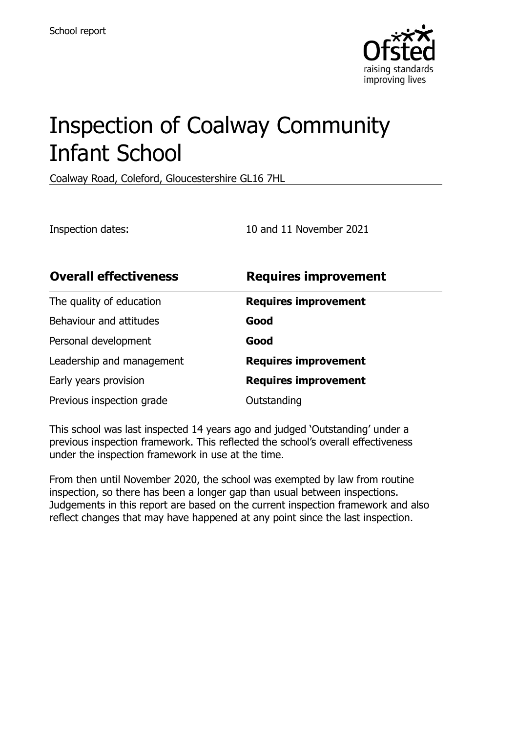

# Inspection of Coalway Community Infant School

Coalway Road, Coleford, Gloucestershire GL16 7HL

Inspection dates: 10 and 11 November 2021

| <b>Overall effectiveness</b> | <b>Requires improvement</b> |
|------------------------------|-----------------------------|
| The quality of education     | <b>Requires improvement</b> |
| Behaviour and attitudes      | Good                        |
| Personal development         | Good                        |
| Leadership and management    | <b>Requires improvement</b> |
| Early years provision        | <b>Requires improvement</b> |
| Previous inspection grade    | Outstanding                 |

This school was last inspected 14 years ago and judged 'Outstanding' under a previous inspection framework. This reflected the school's overall effectiveness under the inspection framework in use at the time.

From then until November 2020, the school was exempted by law from routine inspection, so there has been a longer gap than usual between inspections. Judgements in this report are based on the current inspection framework and also reflect changes that may have happened at any point since the last inspection.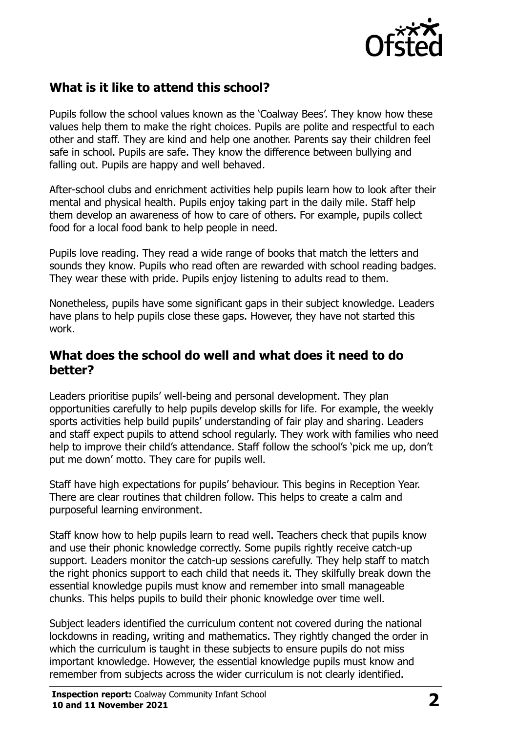

## **What is it like to attend this school?**

Pupils follow the school values known as the 'Coalway Bees'. They know how these values help them to make the right choices. Pupils are polite and respectful to each other and staff. They are kind and help one another. Parents say their children feel safe in school. Pupils are safe. They know the difference between bullying and falling out. Pupils are happy and well behaved.

After-school clubs and enrichment activities help pupils learn how to look after their mental and physical health. Pupils enjoy taking part in the daily mile. Staff help them develop an awareness of how to care of others. For example, pupils collect food for a local food bank to help people in need.

Pupils love reading. They read a wide range of books that match the letters and sounds they know. Pupils who read often are rewarded with school reading badges. They wear these with pride. Pupils enjoy listening to adults read to them.

Nonetheless, pupils have some significant gaps in their subject knowledge. Leaders have plans to help pupils close these gaps. However, they have not started this work.

#### **What does the school do well and what does it need to do better?**

Leaders prioritise pupils' well-being and personal development. They plan opportunities carefully to help pupils develop skills for life. For example, the weekly sports activities help build pupils' understanding of fair play and sharing. Leaders and staff expect pupils to attend school regularly. They work with families who need help to improve their child's attendance. Staff follow the school's 'pick me up, don't put me down' motto. They care for pupils well.

Staff have high expectations for pupils' behaviour. This begins in Reception Year. There are clear routines that children follow. This helps to create a calm and purposeful learning environment.

Staff know how to help pupils learn to read well. Teachers check that pupils know and use their phonic knowledge correctly. Some pupils rightly receive catch-up support. Leaders monitor the catch-up sessions carefully. They help staff to match the right phonics support to each child that needs it. They skilfully break down the essential knowledge pupils must know and remember into small manageable chunks. This helps pupils to build their phonic knowledge over time well.

Subject leaders identified the curriculum content not covered during the national lockdowns in reading, writing and mathematics. They rightly changed the order in which the curriculum is taught in these subjects to ensure pupils do not miss important knowledge. However, the essential knowledge pupils must know and remember from subjects across the wider curriculum is not clearly identified.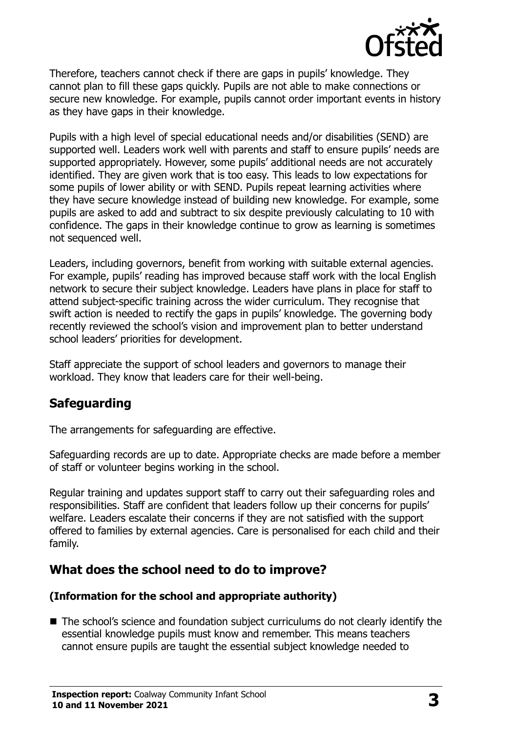

Therefore, teachers cannot check if there are gaps in pupils' knowledge. They cannot plan to fill these gaps quickly. Pupils are not able to make connections or secure new knowledge. For example, pupils cannot order important events in history as they have gaps in their knowledge.

Pupils with a high level of special educational needs and/or disabilities (SEND) are supported well. Leaders work well with parents and staff to ensure pupils' needs are supported appropriately. However, some pupils' additional needs are not accurately identified. They are given work that is too easy. This leads to low expectations for some pupils of lower ability or with SEND. Pupils repeat learning activities where they have secure knowledge instead of building new knowledge. For example, some pupils are asked to add and subtract to six despite previously calculating to 10 with confidence. The gaps in their knowledge continue to grow as learning is sometimes not sequenced well.

Leaders, including governors, benefit from working with suitable external agencies. For example, pupils' reading has improved because staff work with the local English network to secure their subject knowledge. Leaders have plans in place for staff to attend subject-specific training across the wider curriculum. They recognise that swift action is needed to rectify the gaps in pupils' knowledge. The governing body recently reviewed the school's vision and improvement plan to better understand school leaders' priorities for development.

Staff appreciate the support of school leaders and governors to manage their workload. They know that leaders care for their well-being.

## **Safeguarding**

The arrangements for safeguarding are effective.

Safeguarding records are up to date. Appropriate checks are made before a member of staff or volunteer begins working in the school.

Regular training and updates support staff to carry out their safeguarding roles and responsibilities. Staff are confident that leaders follow up their concerns for pupils' welfare. Leaders escalate their concerns if they are not satisfied with the support offered to families by external agencies. Care is personalised for each child and their family.

## **What does the school need to do to improve?**

#### **(Information for the school and appropriate authority)**

■ The school's science and foundation subject curriculums do not clearly identify the essential knowledge pupils must know and remember. This means teachers cannot ensure pupils are taught the essential subject knowledge needed to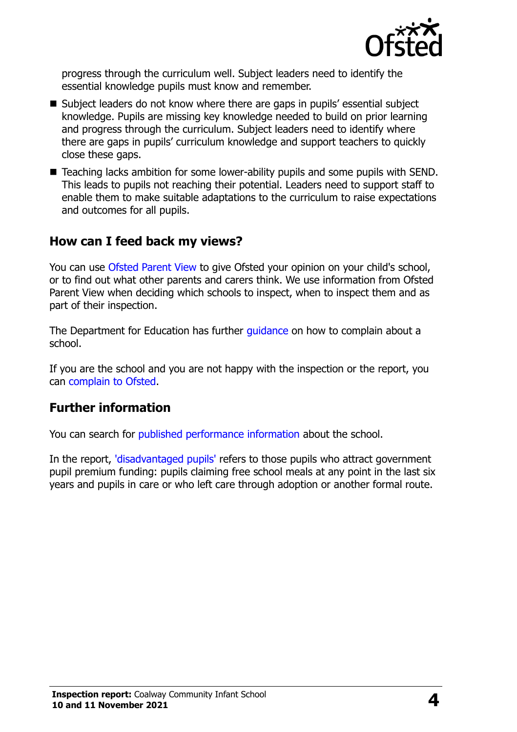

progress through the curriculum well. Subject leaders need to identify the essential knowledge pupils must know and remember.

- Subject leaders do not know where there are gaps in pupils' essential subject knowledge. Pupils are missing key knowledge needed to build on prior learning and progress through the curriculum. Subject leaders need to identify where there are gaps in pupils' curriculum knowledge and support teachers to quickly close these gaps.
- Teaching lacks ambition for some lower-ability pupils and some pupils with SEND. This leads to pupils not reaching their potential. Leaders need to support staff to enable them to make suitable adaptations to the curriculum to raise expectations and outcomes for all pupils.

#### **How can I feed back my views?**

You can use [Ofsted Parent View](http://parentview.ofsted.gov.uk/) to give Ofsted your opinion on your child's school, or to find out what other parents and carers think. We use information from Ofsted Parent View when deciding which schools to inspect, when to inspect them and as part of their inspection.

The Department for Education has further *quidance* on how to complain about a school.

If you are the school and you are not happy with the inspection or the report, you can [complain to Ofsted.](http://www.gov.uk/complain-ofsted-report)

### **Further information**

You can search for [published performance information](http://www.compare-school-performance.service.gov.uk/) about the school.

In the report, ['disadvantaged pupils'](http://www.gov.uk/guidance/pupil-premium-information-for-schools-and-alternative-provision-settings) refers to those pupils who attract government pupil premium funding: pupils claiming free school meals at any point in the last six years and pupils in care or who left care through adoption or another formal route.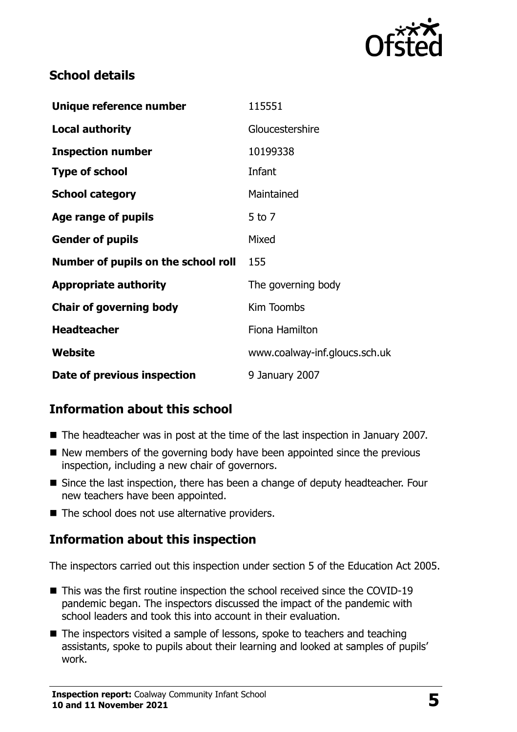

## **School details**

| Unique reference number             | 115551                        |
|-------------------------------------|-------------------------------|
| <b>Local authority</b>              | Gloucestershire               |
| <b>Inspection number</b>            | 10199338                      |
| <b>Type of school</b>               | Infant                        |
| <b>School category</b>              | Maintained                    |
| Age range of pupils                 | $5$ to $7$                    |
| <b>Gender of pupils</b>             | Mixed                         |
| Number of pupils on the school roll | 155                           |
| <b>Appropriate authority</b>        | The governing body            |
| <b>Chair of governing body</b>      | Kim Toombs                    |
| <b>Headteacher</b>                  | Fiona Hamilton                |
| Website                             | www.coalway-inf.gloucs.sch.uk |
| Date of previous inspection         | 9 January 2007                |

## **Information about this school**

- The headteacher was in post at the time of the last inspection in January 2007.
- $\blacksquare$  New members of the governing body have been appointed since the previous inspection, including a new chair of governors.
- Since the last inspection, there has been a change of deputy headteacher. Four new teachers have been appointed.
- The school does not use alternative providers.

## **Information about this inspection**

The inspectors carried out this inspection under section 5 of the Education Act 2005.

- This was the first routine inspection the school received since the COVID-19 pandemic began. The inspectors discussed the impact of the pandemic with school leaders and took this into account in their evaluation.
- The inspectors visited a sample of lessons, spoke to teachers and teaching assistants, spoke to pupils about their learning and looked at samples of pupils' work.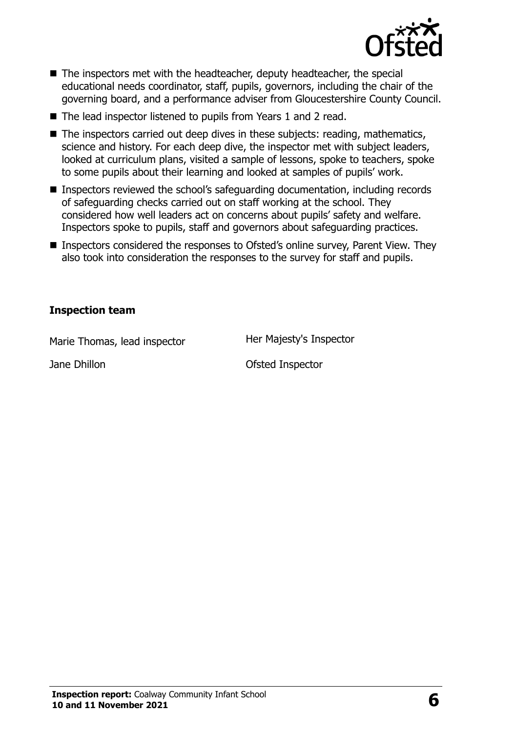

- The inspectors met with the headteacher, deputy headteacher, the special educational needs coordinator, staff, pupils, governors, including the chair of the governing board, and a performance adviser from Gloucestershire County Council.
- The lead inspector listened to pupils from Years 1 and 2 read.
- $\blacksquare$  The inspectors carried out deep dives in these subjects: reading, mathematics, science and history. For each deep dive, the inspector met with subject leaders, looked at curriculum plans, visited a sample of lessons, spoke to teachers, spoke to some pupils about their learning and looked at samples of pupils' work.
- Inspectors reviewed the school's safeguarding documentation, including records of safeguarding checks carried out on staff working at the school. They considered how well leaders act on concerns about pupils' safety and welfare. Inspectors spoke to pupils, staff and governors about safeguarding practices.
- Inspectors considered the responses to Ofsted's online survey, Parent View. They also took into consideration the responses to the survey for staff and pupils.

#### **Inspection team**

Marie Thomas, lead inspector **Her Majesty's Inspector** 

Jane Dhillon **Disk Community** Ofsted Inspector